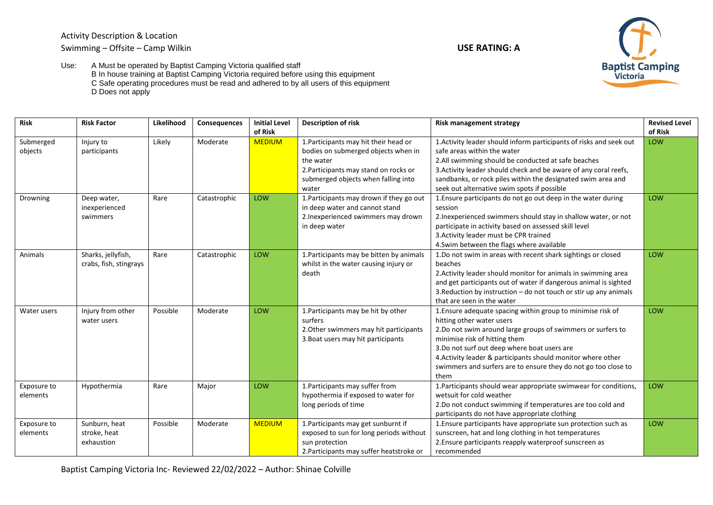Activity Description & Location Swimming – Offsite – Camp Wilkin **USE RATING: A**



Use: A Must be operated by Baptist Camping Victoria qualified staff B In house training at Baptist Camping Victoria required before using this equipment C Safe operating procedures must be read and adhered to by all users of this equipment D Does not apply

| <b>MEDIUM</b><br>Likely<br>Moderate<br>1. Participants may hit their head or<br>1. Activity leader should inform participants of risks and seek out<br>Submerged<br>Injury to<br>LOW<br>bodies on submerged objects when in<br>safe areas within the water<br>objects<br>participants<br>2.All swimming should be conducted at safe beaches<br>the water<br>2. Participants may stand on rocks or<br>3. Activity leader should check and be aware of any coral reefs,<br>sandbanks, or rock piles within the designated swim area and<br>submerged objects when falling into<br>seek out alternative swim spots if possible<br>water<br>1. Participants may drown if they go out<br>LOW<br>1. Ensure participants do not go out deep in the water during<br>LOW<br>Deep water,<br>Rare<br>Catastrophic<br>Drowning<br>in deep water and cannot stand<br>session<br>inexperienced<br>2. Inexperienced swimmers may drown<br>2. Inexperienced swimmers should stay in shallow water, or not<br>swimmers<br>participate in activity based on assessed skill level<br>in deep water<br>3. Activity leader must be CPR trained<br>4. Swim between the flags where available<br>Sharks, jellyfish,<br>LOW<br>1. Participants may be bitten by animals<br>1.Do not swim in areas with recent shark sightings or closed<br>LOW<br>Animals<br>Rare<br>Catastrophic<br>crabs, fish, stingrays<br>whilst in the water causing injury or<br>beaches<br>2. Activity leader should monitor for animals in swimming area<br>death<br>and get participants out of water if dangerous animal is sighted<br>3. Reduction by instruction - do not touch or stir up any animals<br>that are seen in the water<br>Injury from other<br>Possible<br>LOW<br>1. Ensure adequate spacing within group to minimise risk of<br>Water users<br>Moderate<br>1. Participants may be hit by other<br>LOW<br>surfers<br>hitting other water users<br>water users<br>2. Other swimmers may hit participants<br>2.Do not swim around large groups of swimmers or surfers to<br>3. Boat users may hit participants<br>minimise risk of hitting them<br>3.Do not surf out deep where boat users are<br>4. Activity leader & participants should monitor where other<br>swimmers and surfers are to ensure they do not go too close to<br>them<br>1. Participants may suffer from<br>Hypothermia<br>LOW<br>1. Participants should wear appropriate swimwear for conditions,<br>LOW<br>Exposure to<br>Rare<br>Major<br>hypothermia if exposed to water for<br>wetsuit for cold weather<br>elements<br>long periods of time<br>2.Do not conduct swimming if temperatures are too cold and<br>participants do not have appropriate clothing<br>Sunburn, heat<br>Possible<br><b>MEDIUM</b><br>1. Participants may get sunburnt if<br>LOW<br>Exposure to<br>Moderate<br>1. Ensure participants have appropriate sun protection such as<br>stroke, heat<br>exposed to sun for long periods without<br>sunscreen, hat and long clothing in hot temperatures<br>elements | <b>Risk</b> | <b>Risk Factor</b> | Likelihood | <b>Consequences</b> | <b>Initial Level</b> | <b>Description of risk</b> | <b>Risk management strategy</b>                        | <b>Revised Level</b> |
|-----------------------------------------------------------------------------------------------------------------------------------------------------------------------------------------------------------------------------------------------------------------------------------------------------------------------------------------------------------------------------------------------------------------------------------------------------------------------------------------------------------------------------------------------------------------------------------------------------------------------------------------------------------------------------------------------------------------------------------------------------------------------------------------------------------------------------------------------------------------------------------------------------------------------------------------------------------------------------------------------------------------------------------------------------------------------------------------------------------------------------------------------------------------------------------------------------------------------------------------------------------------------------------------------------------------------------------------------------------------------------------------------------------------------------------------------------------------------------------------------------------------------------------------------------------------------------------------------------------------------------------------------------------------------------------------------------------------------------------------------------------------------------------------------------------------------------------------------------------------------------------------------------------------------------------------------------------------------------------------------------------------------------------------------------------------------------------------------------------------------------------------------------------------------------------------------------------------------------------------------------------------------------------------------------------------------------------------------------------------------------------------------------------------------------------------------------------------------------------------------------------------------------------------------------------------------------------------------------------------------------------------------------------------------------------------------------------------------------------------------------------------------------------------------------------------------------------------------------------------------------------------------------------------------------------------------------------------------------------------------------------------------------|-------------|--------------------|------------|---------------------|----------------------|----------------------------|--------------------------------------------------------|----------------------|
|                                                                                                                                                                                                                                                                                                                                                                                                                                                                                                                                                                                                                                                                                                                                                                                                                                                                                                                                                                                                                                                                                                                                                                                                                                                                                                                                                                                                                                                                                                                                                                                                                                                                                                                                                                                                                                                                                                                                                                                                                                                                                                                                                                                                                                                                                                                                                                                                                                                                                                                                                                                                                                                                                                                                                                                                                                                                                                                                                                                                                             |             |                    |            |                     | of Risk              |                            |                                                        | of Risk              |
|                                                                                                                                                                                                                                                                                                                                                                                                                                                                                                                                                                                                                                                                                                                                                                                                                                                                                                                                                                                                                                                                                                                                                                                                                                                                                                                                                                                                                                                                                                                                                                                                                                                                                                                                                                                                                                                                                                                                                                                                                                                                                                                                                                                                                                                                                                                                                                                                                                                                                                                                                                                                                                                                                                                                                                                                                                                                                                                                                                                                                             |             |                    |            |                     |                      |                            |                                                        |                      |
|                                                                                                                                                                                                                                                                                                                                                                                                                                                                                                                                                                                                                                                                                                                                                                                                                                                                                                                                                                                                                                                                                                                                                                                                                                                                                                                                                                                                                                                                                                                                                                                                                                                                                                                                                                                                                                                                                                                                                                                                                                                                                                                                                                                                                                                                                                                                                                                                                                                                                                                                                                                                                                                                                                                                                                                                                                                                                                                                                                                                                             |             |                    |            |                     |                      |                            |                                                        |                      |
|                                                                                                                                                                                                                                                                                                                                                                                                                                                                                                                                                                                                                                                                                                                                                                                                                                                                                                                                                                                                                                                                                                                                                                                                                                                                                                                                                                                                                                                                                                                                                                                                                                                                                                                                                                                                                                                                                                                                                                                                                                                                                                                                                                                                                                                                                                                                                                                                                                                                                                                                                                                                                                                                                                                                                                                                                                                                                                                                                                                                                             |             |                    |            |                     |                      |                            |                                                        |                      |
|                                                                                                                                                                                                                                                                                                                                                                                                                                                                                                                                                                                                                                                                                                                                                                                                                                                                                                                                                                                                                                                                                                                                                                                                                                                                                                                                                                                                                                                                                                                                                                                                                                                                                                                                                                                                                                                                                                                                                                                                                                                                                                                                                                                                                                                                                                                                                                                                                                                                                                                                                                                                                                                                                                                                                                                                                                                                                                                                                                                                                             |             |                    |            |                     |                      |                            |                                                        |                      |
|                                                                                                                                                                                                                                                                                                                                                                                                                                                                                                                                                                                                                                                                                                                                                                                                                                                                                                                                                                                                                                                                                                                                                                                                                                                                                                                                                                                                                                                                                                                                                                                                                                                                                                                                                                                                                                                                                                                                                                                                                                                                                                                                                                                                                                                                                                                                                                                                                                                                                                                                                                                                                                                                                                                                                                                                                                                                                                                                                                                                                             |             |                    |            |                     |                      |                            |                                                        |                      |
|                                                                                                                                                                                                                                                                                                                                                                                                                                                                                                                                                                                                                                                                                                                                                                                                                                                                                                                                                                                                                                                                                                                                                                                                                                                                                                                                                                                                                                                                                                                                                                                                                                                                                                                                                                                                                                                                                                                                                                                                                                                                                                                                                                                                                                                                                                                                                                                                                                                                                                                                                                                                                                                                                                                                                                                                                                                                                                                                                                                                                             |             |                    |            |                     |                      |                            |                                                        |                      |
|                                                                                                                                                                                                                                                                                                                                                                                                                                                                                                                                                                                                                                                                                                                                                                                                                                                                                                                                                                                                                                                                                                                                                                                                                                                                                                                                                                                                                                                                                                                                                                                                                                                                                                                                                                                                                                                                                                                                                                                                                                                                                                                                                                                                                                                                                                                                                                                                                                                                                                                                                                                                                                                                                                                                                                                                                                                                                                                                                                                                                             |             |                    |            |                     |                      |                            |                                                        |                      |
|                                                                                                                                                                                                                                                                                                                                                                                                                                                                                                                                                                                                                                                                                                                                                                                                                                                                                                                                                                                                                                                                                                                                                                                                                                                                                                                                                                                                                                                                                                                                                                                                                                                                                                                                                                                                                                                                                                                                                                                                                                                                                                                                                                                                                                                                                                                                                                                                                                                                                                                                                                                                                                                                                                                                                                                                                                                                                                                                                                                                                             |             |                    |            |                     |                      |                            |                                                        |                      |
|                                                                                                                                                                                                                                                                                                                                                                                                                                                                                                                                                                                                                                                                                                                                                                                                                                                                                                                                                                                                                                                                                                                                                                                                                                                                                                                                                                                                                                                                                                                                                                                                                                                                                                                                                                                                                                                                                                                                                                                                                                                                                                                                                                                                                                                                                                                                                                                                                                                                                                                                                                                                                                                                                                                                                                                                                                                                                                                                                                                                                             |             |                    |            |                     |                      |                            |                                                        |                      |
|                                                                                                                                                                                                                                                                                                                                                                                                                                                                                                                                                                                                                                                                                                                                                                                                                                                                                                                                                                                                                                                                                                                                                                                                                                                                                                                                                                                                                                                                                                                                                                                                                                                                                                                                                                                                                                                                                                                                                                                                                                                                                                                                                                                                                                                                                                                                                                                                                                                                                                                                                                                                                                                                                                                                                                                                                                                                                                                                                                                                                             |             |                    |            |                     |                      |                            |                                                        |                      |
|                                                                                                                                                                                                                                                                                                                                                                                                                                                                                                                                                                                                                                                                                                                                                                                                                                                                                                                                                                                                                                                                                                                                                                                                                                                                                                                                                                                                                                                                                                                                                                                                                                                                                                                                                                                                                                                                                                                                                                                                                                                                                                                                                                                                                                                                                                                                                                                                                                                                                                                                                                                                                                                                                                                                                                                                                                                                                                                                                                                                                             |             |                    |            |                     |                      |                            |                                                        |                      |
|                                                                                                                                                                                                                                                                                                                                                                                                                                                                                                                                                                                                                                                                                                                                                                                                                                                                                                                                                                                                                                                                                                                                                                                                                                                                                                                                                                                                                                                                                                                                                                                                                                                                                                                                                                                                                                                                                                                                                                                                                                                                                                                                                                                                                                                                                                                                                                                                                                                                                                                                                                                                                                                                                                                                                                                                                                                                                                                                                                                                                             |             |                    |            |                     |                      |                            |                                                        |                      |
|                                                                                                                                                                                                                                                                                                                                                                                                                                                                                                                                                                                                                                                                                                                                                                                                                                                                                                                                                                                                                                                                                                                                                                                                                                                                                                                                                                                                                                                                                                                                                                                                                                                                                                                                                                                                                                                                                                                                                                                                                                                                                                                                                                                                                                                                                                                                                                                                                                                                                                                                                                                                                                                                                                                                                                                                                                                                                                                                                                                                                             |             |                    |            |                     |                      |                            |                                                        |                      |
|                                                                                                                                                                                                                                                                                                                                                                                                                                                                                                                                                                                                                                                                                                                                                                                                                                                                                                                                                                                                                                                                                                                                                                                                                                                                                                                                                                                                                                                                                                                                                                                                                                                                                                                                                                                                                                                                                                                                                                                                                                                                                                                                                                                                                                                                                                                                                                                                                                                                                                                                                                                                                                                                                                                                                                                                                                                                                                                                                                                                                             |             |                    |            |                     |                      |                            |                                                        |                      |
|                                                                                                                                                                                                                                                                                                                                                                                                                                                                                                                                                                                                                                                                                                                                                                                                                                                                                                                                                                                                                                                                                                                                                                                                                                                                                                                                                                                                                                                                                                                                                                                                                                                                                                                                                                                                                                                                                                                                                                                                                                                                                                                                                                                                                                                                                                                                                                                                                                                                                                                                                                                                                                                                                                                                                                                                                                                                                                                                                                                                                             |             |                    |            |                     |                      |                            |                                                        |                      |
|                                                                                                                                                                                                                                                                                                                                                                                                                                                                                                                                                                                                                                                                                                                                                                                                                                                                                                                                                                                                                                                                                                                                                                                                                                                                                                                                                                                                                                                                                                                                                                                                                                                                                                                                                                                                                                                                                                                                                                                                                                                                                                                                                                                                                                                                                                                                                                                                                                                                                                                                                                                                                                                                                                                                                                                                                                                                                                                                                                                                                             |             |                    |            |                     |                      |                            |                                                        |                      |
|                                                                                                                                                                                                                                                                                                                                                                                                                                                                                                                                                                                                                                                                                                                                                                                                                                                                                                                                                                                                                                                                                                                                                                                                                                                                                                                                                                                                                                                                                                                                                                                                                                                                                                                                                                                                                                                                                                                                                                                                                                                                                                                                                                                                                                                                                                                                                                                                                                                                                                                                                                                                                                                                                                                                                                                                                                                                                                                                                                                                                             |             |                    |            |                     |                      |                            |                                                        |                      |
|                                                                                                                                                                                                                                                                                                                                                                                                                                                                                                                                                                                                                                                                                                                                                                                                                                                                                                                                                                                                                                                                                                                                                                                                                                                                                                                                                                                                                                                                                                                                                                                                                                                                                                                                                                                                                                                                                                                                                                                                                                                                                                                                                                                                                                                                                                                                                                                                                                                                                                                                                                                                                                                                                                                                                                                                                                                                                                                                                                                                                             |             |                    |            |                     |                      |                            |                                                        |                      |
|                                                                                                                                                                                                                                                                                                                                                                                                                                                                                                                                                                                                                                                                                                                                                                                                                                                                                                                                                                                                                                                                                                                                                                                                                                                                                                                                                                                                                                                                                                                                                                                                                                                                                                                                                                                                                                                                                                                                                                                                                                                                                                                                                                                                                                                                                                                                                                                                                                                                                                                                                                                                                                                                                                                                                                                                                                                                                                                                                                                                                             |             |                    |            |                     |                      |                            |                                                        |                      |
|                                                                                                                                                                                                                                                                                                                                                                                                                                                                                                                                                                                                                                                                                                                                                                                                                                                                                                                                                                                                                                                                                                                                                                                                                                                                                                                                                                                                                                                                                                                                                                                                                                                                                                                                                                                                                                                                                                                                                                                                                                                                                                                                                                                                                                                                                                                                                                                                                                                                                                                                                                                                                                                                                                                                                                                                                                                                                                                                                                                                                             |             |                    |            |                     |                      |                            |                                                        |                      |
|                                                                                                                                                                                                                                                                                                                                                                                                                                                                                                                                                                                                                                                                                                                                                                                                                                                                                                                                                                                                                                                                                                                                                                                                                                                                                                                                                                                                                                                                                                                                                                                                                                                                                                                                                                                                                                                                                                                                                                                                                                                                                                                                                                                                                                                                                                                                                                                                                                                                                                                                                                                                                                                                                                                                                                                                                                                                                                                                                                                                                             |             |                    |            |                     |                      |                            |                                                        |                      |
|                                                                                                                                                                                                                                                                                                                                                                                                                                                                                                                                                                                                                                                                                                                                                                                                                                                                                                                                                                                                                                                                                                                                                                                                                                                                                                                                                                                                                                                                                                                                                                                                                                                                                                                                                                                                                                                                                                                                                                                                                                                                                                                                                                                                                                                                                                                                                                                                                                                                                                                                                                                                                                                                                                                                                                                                                                                                                                                                                                                                                             |             |                    |            |                     |                      |                            |                                                        |                      |
|                                                                                                                                                                                                                                                                                                                                                                                                                                                                                                                                                                                                                                                                                                                                                                                                                                                                                                                                                                                                                                                                                                                                                                                                                                                                                                                                                                                                                                                                                                                                                                                                                                                                                                                                                                                                                                                                                                                                                                                                                                                                                                                                                                                                                                                                                                                                                                                                                                                                                                                                                                                                                                                                                                                                                                                                                                                                                                                                                                                                                             |             |                    |            |                     |                      |                            |                                                        |                      |
|                                                                                                                                                                                                                                                                                                                                                                                                                                                                                                                                                                                                                                                                                                                                                                                                                                                                                                                                                                                                                                                                                                                                                                                                                                                                                                                                                                                                                                                                                                                                                                                                                                                                                                                                                                                                                                                                                                                                                                                                                                                                                                                                                                                                                                                                                                                                                                                                                                                                                                                                                                                                                                                                                                                                                                                                                                                                                                                                                                                                                             |             |                    |            |                     |                      |                            |                                                        |                      |
|                                                                                                                                                                                                                                                                                                                                                                                                                                                                                                                                                                                                                                                                                                                                                                                                                                                                                                                                                                                                                                                                                                                                                                                                                                                                                                                                                                                                                                                                                                                                                                                                                                                                                                                                                                                                                                                                                                                                                                                                                                                                                                                                                                                                                                                                                                                                                                                                                                                                                                                                                                                                                                                                                                                                                                                                                                                                                                                                                                                                                             |             |                    |            |                     |                      |                            |                                                        |                      |
|                                                                                                                                                                                                                                                                                                                                                                                                                                                                                                                                                                                                                                                                                                                                                                                                                                                                                                                                                                                                                                                                                                                                                                                                                                                                                                                                                                                                                                                                                                                                                                                                                                                                                                                                                                                                                                                                                                                                                                                                                                                                                                                                                                                                                                                                                                                                                                                                                                                                                                                                                                                                                                                                                                                                                                                                                                                                                                                                                                                                                             |             |                    |            |                     |                      |                            |                                                        |                      |
|                                                                                                                                                                                                                                                                                                                                                                                                                                                                                                                                                                                                                                                                                                                                                                                                                                                                                                                                                                                                                                                                                                                                                                                                                                                                                                                                                                                                                                                                                                                                                                                                                                                                                                                                                                                                                                                                                                                                                                                                                                                                                                                                                                                                                                                                                                                                                                                                                                                                                                                                                                                                                                                                                                                                                                                                                                                                                                                                                                                                                             |             |                    |            |                     |                      |                            |                                                        |                      |
|                                                                                                                                                                                                                                                                                                                                                                                                                                                                                                                                                                                                                                                                                                                                                                                                                                                                                                                                                                                                                                                                                                                                                                                                                                                                                                                                                                                                                                                                                                                                                                                                                                                                                                                                                                                                                                                                                                                                                                                                                                                                                                                                                                                                                                                                                                                                                                                                                                                                                                                                                                                                                                                                                                                                                                                                                                                                                                                                                                                                                             |             |                    |            |                     |                      |                            |                                                        |                      |
|                                                                                                                                                                                                                                                                                                                                                                                                                                                                                                                                                                                                                                                                                                                                                                                                                                                                                                                                                                                                                                                                                                                                                                                                                                                                                                                                                                                                                                                                                                                                                                                                                                                                                                                                                                                                                                                                                                                                                                                                                                                                                                                                                                                                                                                                                                                                                                                                                                                                                                                                                                                                                                                                                                                                                                                                                                                                                                                                                                                                                             |             |                    |            |                     |                      |                            |                                                        |                      |
|                                                                                                                                                                                                                                                                                                                                                                                                                                                                                                                                                                                                                                                                                                                                                                                                                                                                                                                                                                                                                                                                                                                                                                                                                                                                                                                                                                                                                                                                                                                                                                                                                                                                                                                                                                                                                                                                                                                                                                                                                                                                                                                                                                                                                                                                                                                                                                                                                                                                                                                                                                                                                                                                                                                                                                                                                                                                                                                                                                                                                             |             |                    |            |                     |                      |                            |                                                        |                      |
|                                                                                                                                                                                                                                                                                                                                                                                                                                                                                                                                                                                                                                                                                                                                                                                                                                                                                                                                                                                                                                                                                                                                                                                                                                                                                                                                                                                                                                                                                                                                                                                                                                                                                                                                                                                                                                                                                                                                                                                                                                                                                                                                                                                                                                                                                                                                                                                                                                                                                                                                                                                                                                                                                                                                                                                                                                                                                                                                                                                                                             |             |                    |            |                     |                      |                            |                                                        |                      |
|                                                                                                                                                                                                                                                                                                                                                                                                                                                                                                                                                                                                                                                                                                                                                                                                                                                                                                                                                                                                                                                                                                                                                                                                                                                                                                                                                                                                                                                                                                                                                                                                                                                                                                                                                                                                                                                                                                                                                                                                                                                                                                                                                                                                                                                                                                                                                                                                                                                                                                                                                                                                                                                                                                                                                                                                                                                                                                                                                                                                                             |             |                    |            |                     |                      |                            |                                                        |                      |
|                                                                                                                                                                                                                                                                                                                                                                                                                                                                                                                                                                                                                                                                                                                                                                                                                                                                                                                                                                                                                                                                                                                                                                                                                                                                                                                                                                                                                                                                                                                                                                                                                                                                                                                                                                                                                                                                                                                                                                                                                                                                                                                                                                                                                                                                                                                                                                                                                                                                                                                                                                                                                                                                                                                                                                                                                                                                                                                                                                                                                             |             | exhaustion         |            |                     |                      | sun protection             | 2. Ensure participants reapply waterproof sunscreen as |                      |
| 2. Participants may suffer heatstroke or<br>recommended                                                                                                                                                                                                                                                                                                                                                                                                                                                                                                                                                                                                                                                                                                                                                                                                                                                                                                                                                                                                                                                                                                                                                                                                                                                                                                                                                                                                                                                                                                                                                                                                                                                                                                                                                                                                                                                                                                                                                                                                                                                                                                                                                                                                                                                                                                                                                                                                                                                                                                                                                                                                                                                                                                                                                                                                                                                                                                                                                                     |             |                    |            |                     |                      |                            |                                                        |                      |

Baptist Camping Victoria Inc- Reviewed 22/02/2022 – Author: Shinae Colville